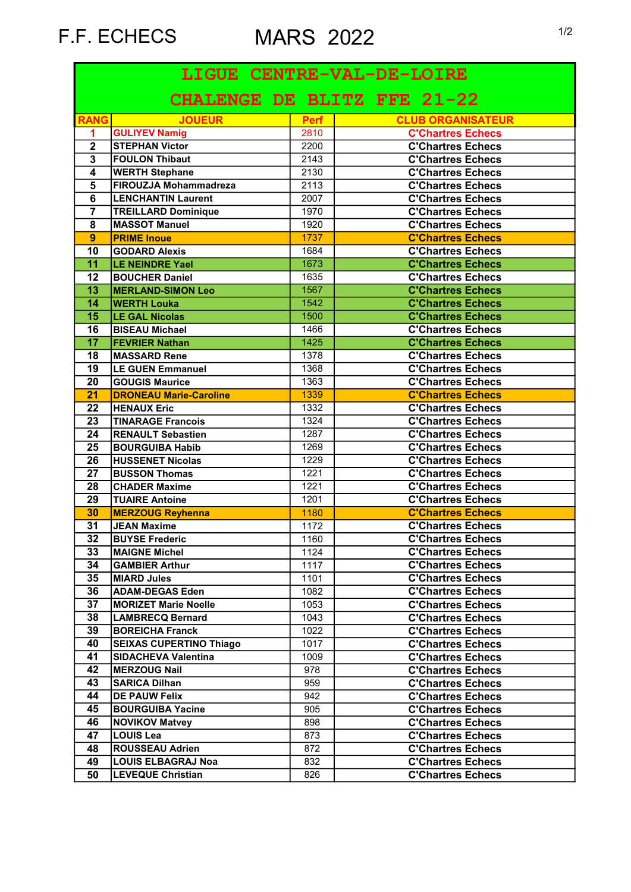F.F. ECHECS MARS 2022 1/2

| CHALENGE DE BLITZ FFE 21-22                                                               |  |
|-------------------------------------------------------------------------------------------|--|
|                                                                                           |  |
| <b>RANG</b><br><b>JOUEUR</b><br><b>CLUB ORGANISATEUR</b><br><b>Perf</b>                   |  |
| <b>GULIYEV Namig</b><br>2810<br><b>C'Chartres Echecs</b><br>1.                            |  |
| $\mathbf 2$<br>2200<br><b>C'Chartres Echecs</b><br><b>STEPHAN Victor</b>                  |  |
| $\overline{\mathbf{3}}$<br>2143<br><b>FOULON Thibaut</b><br><b>C'Chartres Echecs</b>      |  |
| 4<br><b>WERTH Stephane</b><br>2130<br><b>C'Chartres Echecs</b>                            |  |
| $\overline{5}$<br><b>FIROUZJA Mohammadreza</b><br>2113<br><b>C'Chartres Echecs</b>        |  |
| $\overline{6}$<br><b>LENCHANTIN Laurent</b><br>2007<br><b>C'Chartres Echecs</b>           |  |
| $\overline{\mathbf{7}}$<br>1970<br><b>C'Chartres Echecs</b><br><b>TREILLARD Dominique</b> |  |
| 8<br><b>MASSOT Manuel</b><br>1920<br><b>C'Chartres Echecs</b>                             |  |
| $\overline{9}$<br><b>PRIME Inoue</b><br><b>C'Chartres Echecs</b><br>1737                  |  |
| 10<br><b>C'Chartres Echecs</b><br><b>GODARD Alexis</b><br>1684                            |  |
| $\overline{11}$<br>LE NEINDRE Yael<br>1673<br><b>C'Chartres Echecs</b>                    |  |
| <b>C'Chartres Echecs</b><br>12<br>1635<br><b>BOUCHER Daniel</b>                           |  |
| 13<br><b>C'Chartres Echecs</b><br><b>MERLAND-SIMON Leo</b><br>1567                        |  |
| 14<br>1542<br><b>C'Chartres Echecs</b><br><b>WERTH Louka</b>                              |  |
| 15<br><b>C'Chartres Echecs</b><br><b>LE GAL Nicolas</b><br>1500                           |  |
| <b>C'Chartres Echecs</b><br>16<br><b>BISEAU Michael</b><br>1466                           |  |
| 17<br><b>C'Chartres Echecs</b><br>1425<br><b>FEVRIER Nathan</b>                           |  |
| 18<br><b>C'Chartres Echecs</b><br>1378<br><b>MASSARD Rene</b>                             |  |
| 19<br><b>C'Chartres Echecs</b><br><b>LE GUEN Emmanuel</b><br>1368                         |  |
| 20<br><b>GOUGIS Maurice</b><br>1363<br><b>C'Chartres Echecs</b>                           |  |
| 21<br><b>C'Chartres Echecs</b><br>1339<br><b>DRONEAU Marie-Caroline</b>                   |  |
| 22<br><b>HENAUX Eric</b><br>1332<br><b>C'Chartres Echecs</b>                              |  |
| 23<br><b>C'Chartres Echecs</b><br>1324<br><b>TINARAGE Francois</b>                        |  |
| 24<br><b>C'Chartres Echecs</b><br><b>RENAULT Sebastien</b><br>1287                        |  |
| 25<br><b>C'Chartres Echecs</b><br><b>BOURGUIBA Habib</b><br>1269                          |  |
| 26<br><b>C'Chartres Echecs</b><br><b>HUSSENET Nicolas</b><br>1229                         |  |
| $\overline{27}$<br><b>C'Chartres Echecs</b><br><b>BUSSON Thomas</b><br>1221               |  |
| <b>C'Chartres Echecs</b><br>28<br><b>CHADER Maxime</b><br>1221                            |  |
| 29<br><b>TUAIRE Antoine</b><br><b>C'Chartres Echecs</b><br>1201                           |  |
| 30<br><b>MERZOUG Reyhenna</b><br>1180<br><b>C'Chartres Echecs</b>                         |  |
| $\overline{31}$<br><b>JEAN Maxime</b><br><b>C'Chartres Echecs</b><br>1172                 |  |
| <b>BUYSE Frederic</b><br>32<br>1160<br><b>C'Chartres Echecs</b>                           |  |
| 33<br><b>MAIGNE Michel</b><br>1124<br><b>C'Chartres Echecs</b>                            |  |
| 34<br><b>C'Chartres Echecs</b><br><b>GAMBIER Arthur</b><br>1117                           |  |
| 35<br><b>C'Chartres Echecs</b><br><b>MIARD Jules</b><br>1101                              |  |
| <b>ADAM-DEGAS Eden</b><br>36<br>1082<br><b>C'Chartres Echecs</b>                          |  |
| 37<br><b>MORIZET Marie Noelle</b><br><b>C'Chartres Echecs</b><br>1053                     |  |
| 38<br><b>LAMBRECQ Bernard</b><br>1043<br><b>C'Chartres Echecs</b>                         |  |
| 39<br><b>BOREICHA Franck</b><br>1022<br><b>C'Chartres Echecs</b>                          |  |
| 40<br><b>SEIXAS CUPERTINO Thiago</b><br>1017<br><b>C'Chartres Echecs</b>                  |  |
| 41<br><b>SIDACHEVA Valentina</b><br>1009<br><b>C'Chartres Echecs</b>                      |  |
| 42<br>978<br><b>C'Chartres Echecs</b><br><b>MERZOUG Nail</b>                              |  |
| 43<br>959<br><b>C'Chartres Echecs</b><br><b>SARICA Dilhan</b>                             |  |
| 44<br><b>DE PAUW Felix</b><br>942<br><b>C'Chartres Echecs</b>                             |  |
| 45<br>905<br><b>BOURGUIBA Yacine</b><br><b>C'Chartres Echecs</b>                          |  |
| 46<br>898<br><b>C'Chartres Echecs</b><br><b>NOVIKOV Matvey</b>                            |  |
| 47<br><b>LOUIS Lea</b><br>873<br><b>C'Chartres Echecs</b>                                 |  |
| 48<br>872<br><b>C'Chartres Echecs</b><br><b>ROUSSEAU Adrien</b>                           |  |
| 49<br><b>C'Chartres Echecs</b><br>832<br><b>LOUIS ELBAGRAJ Noa</b>                        |  |
| 50<br><b>C'Chartres Echecs</b><br><b>LEVEQUE Christian</b><br>826                         |  |